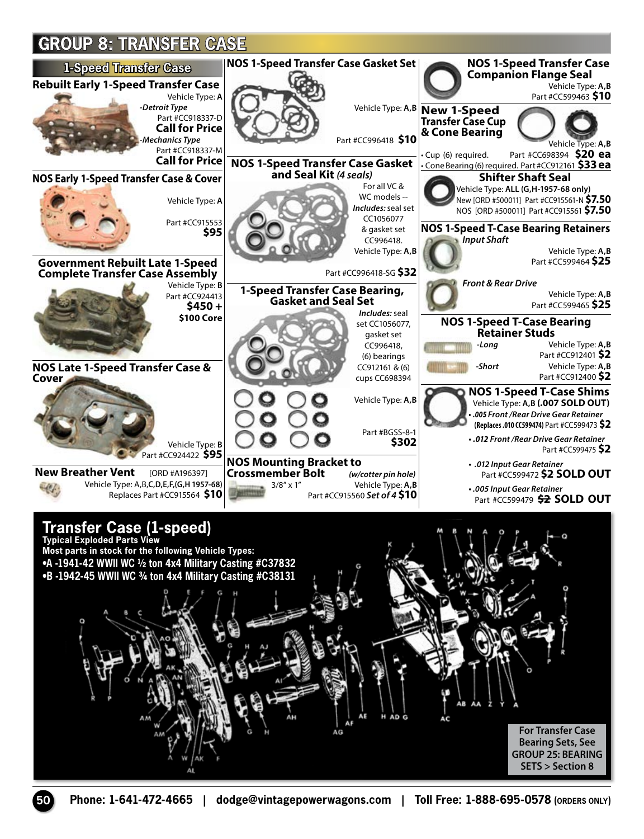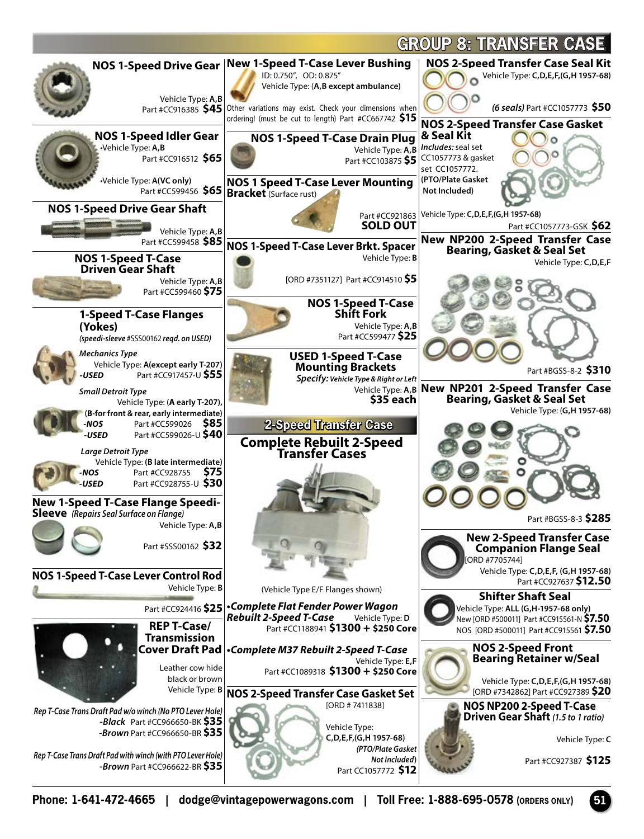

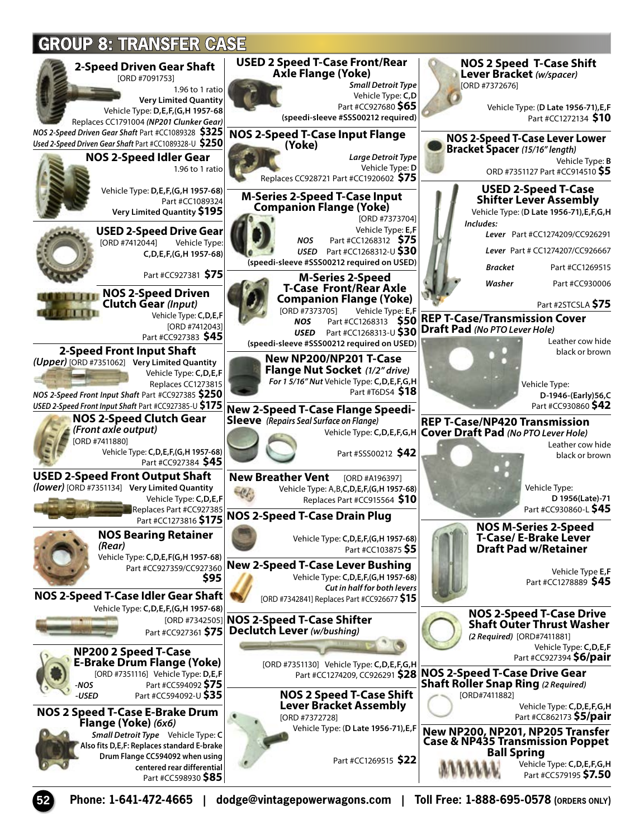

**52 Phone: 1-641-472-4665 | dodge@vintagepowerwagons.com | Toll Free: 1-888-695-0578 (ORDERS ONLY)**